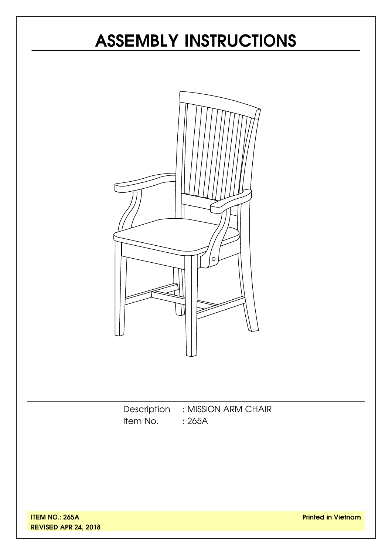# **ASSEMBLY INSTRUCTIONS**



Description : MISSION ARM CHAIR Item No. : 265A

**ITEM NO.: 265A REVISED APR 24, 2018**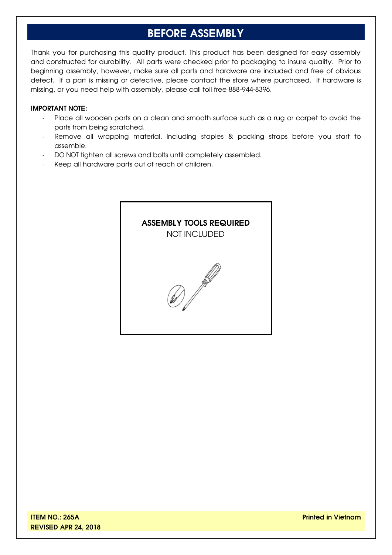# **BEFORE ASSEMBLY**

Thank you for purchasing this quality product. This product has been designed for easy assembly and constructed for durability. All parts were checked prior to packaging to insure quality. Prior to beginning assembly, however, make sure all parts and hardware are included and free of obvious defect. If a part is missing or defective, please contact the store where purchased. If hardware is missing, or you need help with assembly, please call toll free 888-944-8396.

#### **IMPORTANT NOTE:**

- Place all wooden parts on a clean and smooth surface such as a rug or carpet to avoid the parts from being scratched.
- Remove all wrapping material, including staples & packing straps before you start to assemble.
- DO NOT tighten all screws and bolts until completely assembled.
- Keep all hardware parts out of reach of children.

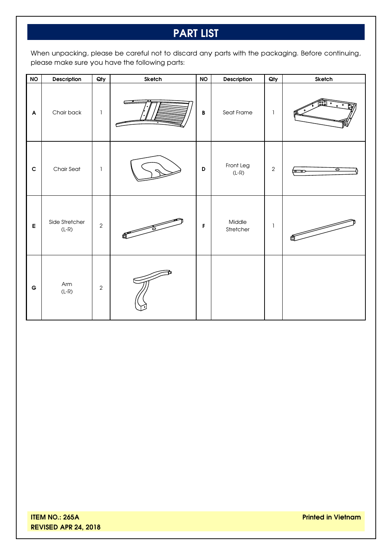# **PART LIST**

When unpacking, please be careful not to discard any parts with the packaging. Before continuing, please make sure you have the following parts:

| <b>NO</b>                 | Description               | Qty            | Sketch       | <b>NO</b>       | Description          | Qty          | Sketch               |
|---------------------------|---------------------------|----------------|--------------|-----------------|----------------------|--------------|----------------------|
| $\boldsymbol{\mathsf{A}}$ | Chair back                | $\mathbf{I}$   | æ            | $\, {\bf B} \,$ | Seat Frame           | $\mathbf{1}$ |                      |
| $\mathbf c$               | Chair Seat                | $\mathbf{1}$   |              | D               | Front Leg<br>$(L-R)$ | $\sqrt{2}$   | ਠ<br>$\circ$ $\circ$ |
| $\mathsf E$               | Side Stretcher<br>$(L-R)$ | $\overline{2}$ | $\mathbb{R}$ | $\mathsf F$     | Middle<br>Stretcher  | $\mathbf{I}$ |                      |
| $\mathbf G$               | Arm<br>$(L-R)$            | $\sqrt{2}$     |              |                 |                      |              |                      |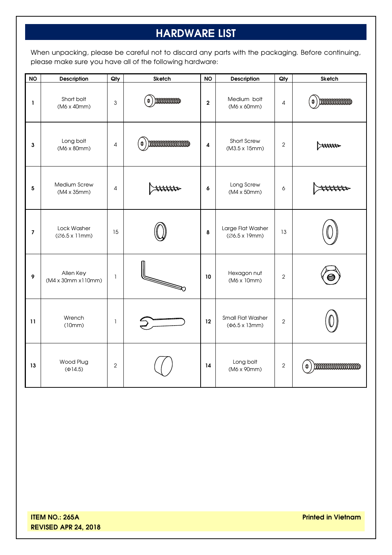# **HARDWARE LIST**

When unpacking, please be careful not to discard any parts with the packaging. Before continuing, please make sure you have all of the following hardware:

| <b>NO</b>                | Description                                   | Qty            | Sketch                 | <b>NO</b>               | Description                                              | Qty            | <b>Sketch</b>                 |
|--------------------------|-----------------------------------------------|----------------|------------------------|-------------------------|----------------------------------------------------------|----------------|-------------------------------|
| L                        | Short bolt<br>(M6 x 40mm)                     | 3              | <b>DOODOODOOD</b><br>0 | $\overline{\mathbf{2}}$ | Medium bolt<br>$(M6 \times 60 \text{mm})$                | 4              | monumum<br>$\pmb{\mathbb{O}}$ |
| 3                        | Long bolt<br>$(M6 \times 80 \text{mm})$       | 4              | mmmmmmm<br>0           | $\overline{\mathbf{4}}$ | Short Screw<br>$(M3.5 \times 15 \text{mm})$              | $\overline{2}$ | $\Join\!\!$                   |
| 5                        | Medium Screw<br>$(M4 \times 35$ mm $)$        | $\overline{4}$ |                        | $\pmb{6}$               | Long Screw<br>$(M4 \times 50$ mm $)$                     | 6              |                               |
| $\overline{\phantom{a}}$ | Lock Washer<br>(Ø6.5 x 11mm)                  | 15             |                        | 8                       | Large Flat Washer<br>$(Ø6.5 \times 19$ mm)               | 13             |                               |
| 9                        | Allen Key<br>$(M4 \times 30$ mm $x110$ mm $)$ | 1              |                        | 10                      | Hexagon nut<br>(M6 x 10mm)                               | $\mathbf{2}$   |                               |
| 11                       | Wrench<br>(10mm)                              | $\mathbf{1}$   |                        | 12                      | <b>Small Flat Washer</b><br>$(46.5 \times 13 \text{mm})$ | $\overline{2}$ |                               |
| 13                       | Wood Plug<br>$(\Phi$ 14.5)                    | $\overline{2}$ |                        | 14                      | Long bolt<br>(M6 x 90mm)                                 | $\overline{2}$ | mmmmmmmm<br>Φ                 |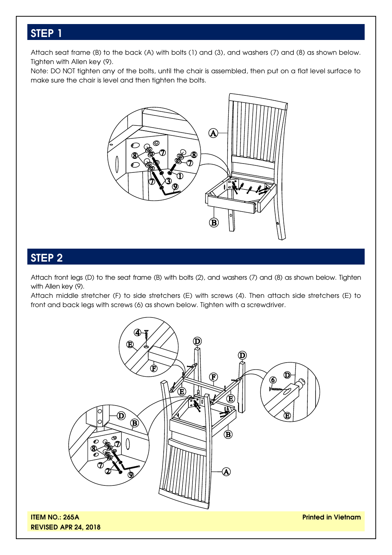### **STEP 1**

Attach seat frame (B) to the back (A) with bolts (1) and (3), and washers (7) and (8) as shown below. Tighten with Allen key (9).

Note: DO NOT tighten any of the bolts, until the chair is assembled, then put on a flat level surface to make sure the chair is level and then tighten the bolts.



## **STEP 2**

Attach front legs (D) to the seat frame (B) with bolts (2), and washers (7) and (8) as shown below. Tighten with Allen key (9).

Attach middle stretcher (F) to side stretchers (E) with screws (4). Then attach side stretchers (E) to front and back legs with screws (6) as shown below. Tighten with a screwdriver.